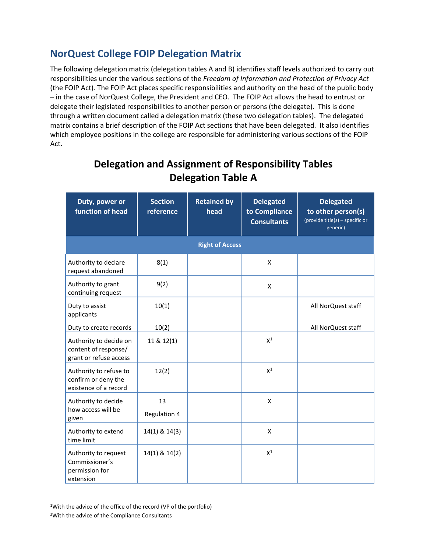## **NorQuest College FOIP Delegation Matrix**

The following delegation matrix (delegation tables A and B) identifies staff levels authorized to carry out responsibilities under the various sections of the *Freedom of Information and Protection of Privacy Act*  (the FOIP Act)*.* The FOIP Act places specific responsibilities and authority on the head of the public body – in the case of NorQuest College, the President and CEO. The FOIP Act allows the head to entrust or delegate their legislated responsibilities to another person or persons (the delegate). This is done through a written document called a delegation matrix (these two delegation tables). The delegated matrix contains a brief description of the FOIP Act sections that have been delegated. It also identifies which employee positions in the college are responsible for administering various sections of the FOIP Act.

| Duty, power or<br>function of head                                       | <b>Section</b><br>reference | <b>Retained by</b><br>head | <b>Delegated</b><br>to Compliance<br><b>Consultants</b> | <b>Delegated</b><br>to other person(s)<br>(provide title(s) - specific or<br>generic) |
|--------------------------------------------------------------------------|-----------------------------|----------------------------|---------------------------------------------------------|---------------------------------------------------------------------------------------|
|                                                                          |                             | <b>Right of Access</b>     |                                                         |                                                                                       |
| Authority to declare<br>request abandoned                                | 8(1)                        |                            | $\pmb{\mathsf{X}}$                                      |                                                                                       |
| Authority to grant<br>continuing request                                 | 9(2)                        |                            | X                                                       |                                                                                       |
| Duty to assist<br>applicants                                             | 10(1)                       |                            |                                                         | All NorQuest staff                                                                    |
| Duty to create records                                                   | 10(2)                       |                            |                                                         | All NorQuest staff                                                                    |
| Authority to decide on<br>content of response/<br>grant or refuse access | 11 & 12(1)                  |                            | $X^1$                                                   |                                                                                       |
| Authority to refuse to<br>confirm or deny the<br>existence of a record   | 12(2)                       |                            | $X^1$                                                   |                                                                                       |
| Authority to decide<br>how access will be<br>given                       | 13<br>Regulation 4          |                            | X                                                       |                                                                                       |
| Authority to extend<br>time limit                                        | 14(1) & 14(3)               |                            | X                                                       |                                                                                       |
| Authority to request<br>Commissioner's<br>permission for<br>extension    | 14(1) & 14(2)               |                            | $X^1$                                                   |                                                                                       |

## **Delegation and Assignment of Responsibility Tables Delegation Table A**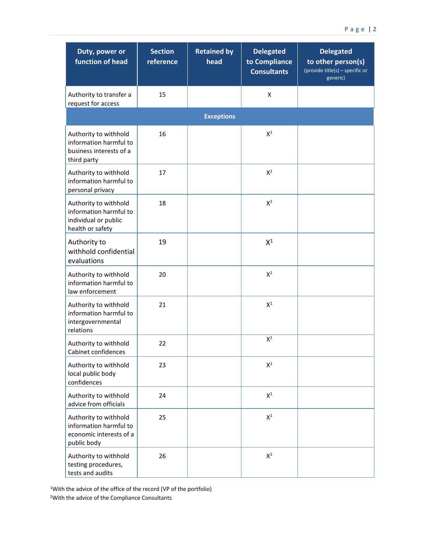| Duty, power or<br>function of head                                                          | <b>Section</b><br>reference | <b>Retained by</b><br>head | <b>Delegated</b><br>to Compliance<br><b>Consultants</b> | <b>Delegated</b><br>to other person(s)<br>(provide title(s) - specific or<br>generic) |
|---------------------------------------------------------------------------------------------|-----------------------------|----------------------------|---------------------------------------------------------|---------------------------------------------------------------------------------------|
| Authority to transfer a<br>request for access                                               | 15                          |                            | X                                                       |                                                                                       |
|                                                                                             |                             | <b>Exceptions</b>          |                                                         |                                                                                       |
| Authority to withhold<br>information harmful to<br>business interests of a<br>third party   | 16                          |                            | $\mathsf{X}^1$                                          |                                                                                       |
| Authority to withhold<br>information harmful to<br>personal privacy                         | 17                          |                            | $X^1$                                                   |                                                                                       |
| Authority to withhold<br>information harmful to<br>individual or public<br>health or safety | 18                          |                            | $\mathsf{X}^1$                                          |                                                                                       |
| Authority to<br>withhold confidential<br>evaluations                                        | 19                          |                            | $X^1$                                                   |                                                                                       |
| Authority to withhold<br>information harmful to<br>law enforcement                          | 20                          |                            | $X^1$                                                   |                                                                                       |
| Authority to withhold<br>information harmful to<br>intergovernmental<br>relations           | 21                          |                            | $X^1$                                                   |                                                                                       |
| Authority to withhold<br>Cabinet confidences                                                | 22                          |                            | $X^1$                                                   |                                                                                       |
| Authority to withhold<br>local public body<br>confidences                                   | 23                          |                            | $\mathsf{X}^1$                                          |                                                                                       |
| Authority to withhold<br>advice from officials                                              | 24                          |                            | $\mathsf{X}^1$                                          |                                                                                       |
| Authority to withhold<br>information harmful to<br>economic interests of a<br>public body   | 25                          |                            | $\mathsf{X}^1$                                          |                                                                                       |
| Authority to withhold<br>testing procedures,<br>tests and audits                            | 26                          |                            | $\mathsf{X}^1$                                          |                                                                                       |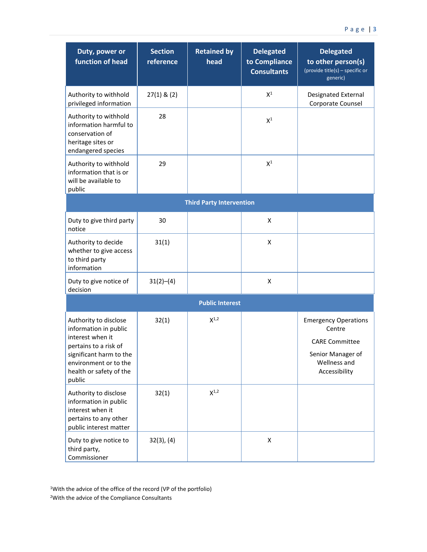| Duty, power or<br><b>function of head</b>                                                                                                                                            | <b>Section</b><br>reference | <b>Retained by</b><br>head      | <b>Delegated</b><br>to Compliance<br><b>Consultants</b> | <b>Delegated</b><br>to other person(s)<br>(provide title(s) - specific or<br>generic)                                |
|--------------------------------------------------------------------------------------------------------------------------------------------------------------------------------------|-----------------------------|---------------------------------|---------------------------------------------------------|----------------------------------------------------------------------------------------------------------------------|
| Authority to withhold<br>privileged information                                                                                                                                      | $27(1)$ & $(2)$             |                                 | $\mathsf{X}^1$                                          | <b>Designated External</b><br>Corporate Counsel                                                                      |
| Authority to withhold<br>information harmful to<br>conservation of<br>heritage sites or<br>endangered species                                                                        | 28                          |                                 | $\mathsf{X}^1$                                          |                                                                                                                      |
| Authority to withhold<br>information that is or<br>will be available to<br>public                                                                                                    | 29                          |                                 | $X^1$                                                   |                                                                                                                      |
|                                                                                                                                                                                      |                             | <b>Third Party Intervention</b> |                                                         |                                                                                                                      |
| Duty to give third party<br>notice                                                                                                                                                   | 30                          |                                 | X                                                       |                                                                                                                      |
| Authority to decide<br>whether to give access<br>to third party<br>information                                                                                                       | 31(1)                       |                                 | X                                                       |                                                                                                                      |
| Duty to give notice of<br>decision                                                                                                                                                   | 31(2)–(4)                   |                                 | Χ                                                       |                                                                                                                      |
|                                                                                                                                                                                      |                             | <b>Public Interest</b>          |                                                         |                                                                                                                      |
| Authority to disclose<br>information in public<br>interest when it<br>pertains to a risk of<br>significant harm to the<br>environment or to the<br>health or safety of the<br>public | 32(1)                       | $X^{1,2}$                       |                                                         | <b>Emergency Operations</b><br>Centre<br><b>CARE Committee</b><br>Senior Manager of<br>Wellness and<br>Accessibility |
| Authority to disclose<br>information in public<br>interest when it<br>pertains to any other<br>public interest matter                                                                | 32(1)                       | $X^{1,2}$                       |                                                         |                                                                                                                      |
| Duty to give notice to<br>third party,<br>Commissioner                                                                                                                               | $32(3)$ , $(4)$             |                                 | X                                                       |                                                                                                                      |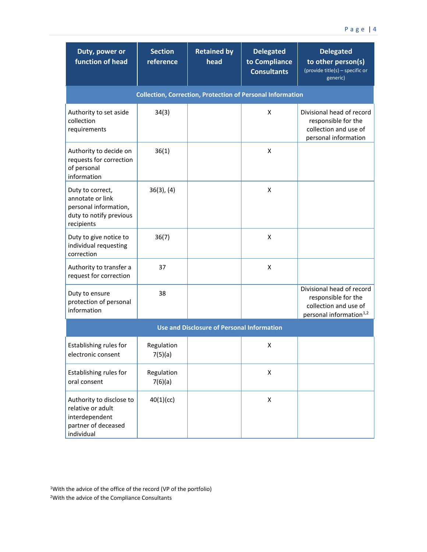| Duty, power or<br>function of head                                                                     | <b>Section</b><br>reference | <b>Retained by</b><br>head                        | <b>Delegated</b><br>to Compliance<br><b>Consultants</b> | <b>Delegated</b><br>to other person(s)<br>(provide title(s) - specific or<br>generic)                            |  |  |
|--------------------------------------------------------------------------------------------------------|-----------------------------|---------------------------------------------------|---------------------------------------------------------|------------------------------------------------------------------------------------------------------------------|--|--|
| <b>Collection, Correction, Protection of Personal Information</b>                                      |                             |                                                   |                                                         |                                                                                                                  |  |  |
| Authority to set aside<br>collection<br>requirements                                                   | 34(3)                       |                                                   | X                                                       | Divisional head of record<br>responsible for the<br>collection and use of<br>personal information                |  |  |
| Authority to decide on<br>requests for correction<br>of personal<br>information                        | 36(1)                       |                                                   | X                                                       |                                                                                                                  |  |  |
| Duty to correct,<br>annotate or link<br>personal information,<br>duty to notify previous<br>recipients | $36(3)$ , $(4)$             |                                                   | X                                                       |                                                                                                                  |  |  |
| Duty to give notice to<br>individual requesting<br>correction                                          | 36(7)                       |                                                   | X                                                       |                                                                                                                  |  |  |
| Authority to transfer a<br>request for correction                                                      | 37                          |                                                   | X                                                       |                                                                                                                  |  |  |
| Duty to ensure<br>protection of personal<br>information                                                | 38                          |                                                   |                                                         | Divisional head of record<br>responsible for the<br>collection and use of<br>personal information <sup>1,2</sup> |  |  |
|                                                                                                        |                             | <b>Use and Disclosure of Personal Information</b> |                                                         |                                                                                                                  |  |  |
| Establishing rules for<br>electronic consent                                                           | Regulation<br>7(5)(a)       |                                                   | X                                                       |                                                                                                                  |  |  |
| Establishing rules for<br>oral consent                                                                 | Regulation<br>7(6)(a)       |                                                   | Χ                                                       |                                                                                                                  |  |  |
| Authority to disclose to<br>relative or adult<br>interdependent<br>partner of deceased<br>individual   | 40(1)(cc)                   |                                                   | Χ                                                       |                                                                                                                  |  |  |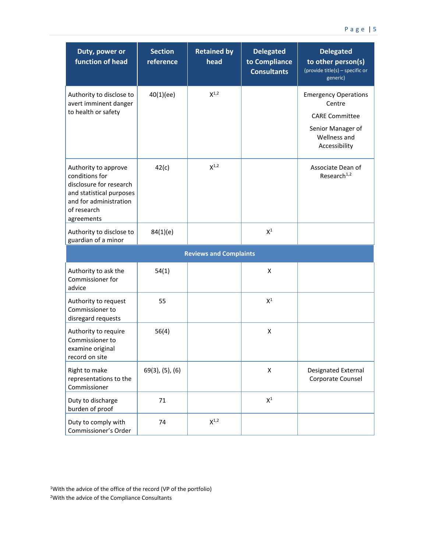| Duty, power or<br><b>function of head</b>                                                                                                            | <b>Section</b><br>reference | <b>Retained by</b><br>head    | <b>Delegated</b><br>to Compliance<br><b>Consultants</b> | <b>Delegated</b><br>to other person(s)<br>(provide title(s) - specific or<br>generic)                                |
|------------------------------------------------------------------------------------------------------------------------------------------------------|-----------------------------|-------------------------------|---------------------------------------------------------|----------------------------------------------------------------------------------------------------------------------|
| Authority to disclose to<br>avert imminent danger<br>to health or safety                                                                             | 40(1)(ee)                   | $X^{1,2}$                     |                                                         | <b>Emergency Operations</b><br>Centre<br><b>CARE Committee</b><br>Senior Manager of<br>Wellness and<br>Accessibility |
| Authority to approve<br>conditions for<br>disclosure for research<br>and statistical purposes<br>and for administration<br>of research<br>agreements | 42(c)                       | $X^{1,2}$                     |                                                         | Associate Dean of<br>Research <sup>1,2</sup>                                                                         |
| Authority to disclose to<br>guardian of a minor                                                                                                      | 84(1)(e)                    |                               | $X^1$                                                   |                                                                                                                      |
|                                                                                                                                                      |                             | <b>Reviews and Complaints</b> |                                                         |                                                                                                                      |
| Authority to ask the<br>Commissioner for<br>advice                                                                                                   | 54(1)                       |                               | X                                                       |                                                                                                                      |
| Authority to request<br>Commissioner to<br>disregard requests                                                                                        | 55                          |                               | $X^1$                                                   |                                                                                                                      |
| Authority to require<br>Commissioner to<br>examine original<br>record on site                                                                        | 56(4)                       |                               | X                                                       |                                                                                                                      |
| Right to make<br>representations to the<br>Commissioner                                                                                              | $69(3)$ , $(5)$ , $(6)$     |                               | X                                                       | Designated External<br>Corporate Counsel                                                                             |
| Duty to discharge<br>burden of proof                                                                                                                 | 71                          |                               | $\mathsf{X}^1$                                          |                                                                                                                      |
| Duty to comply with<br>Commissioner's Order                                                                                                          | 74                          | $X^{1,2}$                     |                                                         |                                                                                                                      |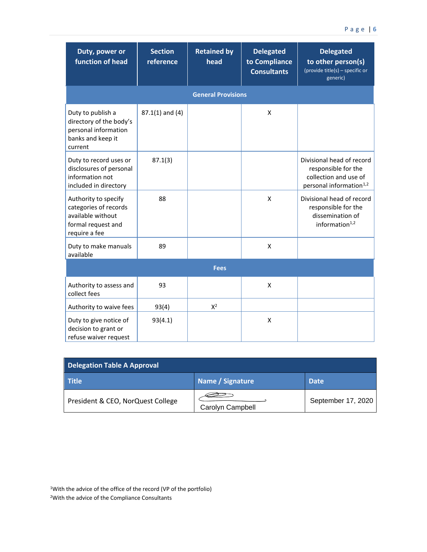| Duty, power or<br>function of head                                                                        | <b>Section</b><br>reference | <b>Retained by</b><br>head | <b>Delegated</b><br>to Compliance<br><b>Consultants</b> | <b>Delegated</b><br>to other person(s)<br>(provide title(s) - specific or<br>generic)                            |
|-----------------------------------------------------------------------------------------------------------|-----------------------------|----------------------------|---------------------------------------------------------|------------------------------------------------------------------------------------------------------------------|
|                                                                                                           |                             | <b>General Provisions</b>  |                                                         |                                                                                                                  |
| Duty to publish a<br>directory of the body's<br>personal information<br>banks and keep it<br>current      | $87.1(1)$ and $(4)$         |                            | X                                                       |                                                                                                                  |
| Duty to record uses or<br>disclosures of personal<br>information not<br>included in directory             | 87.1(3)                     |                            |                                                         | Divisional head of record<br>responsible for the<br>collection and use of<br>personal information <sup>1,2</sup> |
| Authority to specify<br>categories of records<br>available without<br>formal request and<br>require a fee | 88                          |                            | X                                                       | Divisional head of record<br>responsible for the<br>dissemination of<br>information $1,2$                        |
| Duty to make manuals<br>available                                                                         | 89                          |                            | X                                                       |                                                                                                                  |
|                                                                                                           |                             | <b>Fees</b>                |                                                         |                                                                                                                  |
| Authority to assess and<br>collect fees                                                                   | 93                          |                            | X                                                       |                                                                                                                  |
| Authority to waive fees                                                                                   | 93(4)                       | $X^2$                      |                                                         |                                                                                                                  |
| Duty to give notice of<br>decision to grant or<br>refuse waiver request                                   | 93(4.1)                     |                            | Χ                                                       |                                                                                                                  |

| <b>Delegation Table A Approval</b> |                  |                    |
|------------------------------------|------------------|--------------------|
| Title                              | Name / Signature | <b>Date</b>        |
| President & CEO, NorQuest College  | Carolyn Campbell | September 17, 2020 |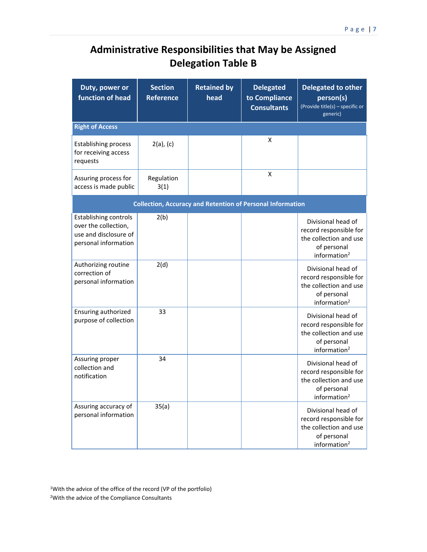## **Administrative Responsibilities that May be Assigned Delegation Table B**

| Duty, power or<br>function of head                                                                    | <b>Section</b><br><b>Reference</b> | <b>Retained by</b><br>head | <b>Delegated</b><br>to Compliance<br><b>Consultants</b>           | <b>Delegated to other</b><br>person(s)<br>(Provide title(s) - specific or<br>generic)                             |
|-------------------------------------------------------------------------------------------------------|------------------------------------|----------------------------|-------------------------------------------------------------------|-------------------------------------------------------------------------------------------------------------------|
| <b>Right of Access</b>                                                                                |                                    |                            |                                                                   |                                                                                                                   |
| <b>Establishing process</b><br>for receiving access<br>requests                                       | $2(a)$ , $(c)$                     |                            | x                                                                 |                                                                                                                   |
| Assuring process for<br>access is made public                                                         | Regulation<br>3(1)                 |                            | X                                                                 |                                                                                                                   |
|                                                                                                       |                                    |                            | <b>Collection, Accuracy and Retention of Personal Information</b> |                                                                                                                   |
| <b>Establishing controls</b><br>over the collection,<br>use and disclosure of<br>personal information | 2(b)                               |                            |                                                                   | Divisional head of<br>record responsible for<br>the collection and use<br>of personal<br>information <sup>2</sup> |
| Authorizing routine<br>correction of<br>personal information                                          | 2(d)                               |                            |                                                                   | Divisional head of<br>record responsible for<br>the collection and use<br>of personal<br>information <sup>2</sup> |
| Ensuring authorized<br>purpose of collection                                                          | 33                                 |                            |                                                                   | Divisional head of<br>record responsible for<br>the collection and use<br>of personal<br>information <sup>2</sup> |
| Assuring proper<br>collection and<br>notification                                                     | 34                                 |                            |                                                                   | Divisional head of<br>record responsible for<br>the collection and use<br>of personal<br>information <sup>2</sup> |
| Assuring accuracy of<br>personal information                                                          | 35(a)                              |                            |                                                                   | Divisional head of<br>record responsible for<br>the collection and use<br>of personal<br>information $2$          |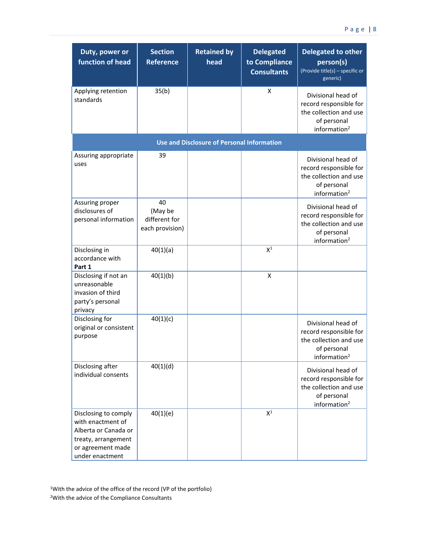| Duty, power or<br>function of head                                                                                               | <b>Section</b><br><b>Reference</b>                | <b>Retained by</b><br>head                        | <b>Delegated</b><br>to Compliance<br><b>Consultants</b> | <b>Delegated to other</b><br>person(s)<br>(Provide title(s) - specific or<br>generic)                             |
|----------------------------------------------------------------------------------------------------------------------------------|---------------------------------------------------|---------------------------------------------------|---------------------------------------------------------|-------------------------------------------------------------------------------------------------------------------|
| Applying retention<br>standards                                                                                                  | 35(b)                                             |                                                   | X                                                       | Divisional head of<br>record responsible for<br>the collection and use<br>of personal<br>information $2$          |
|                                                                                                                                  |                                                   | <b>Use and Disclosure of Personal Information</b> |                                                         |                                                                                                                   |
| Assuring appropriate<br>uses                                                                                                     | 39                                                |                                                   |                                                         | Divisional head of<br>record responsible for<br>the collection and use<br>of personal<br>information <sup>2</sup> |
| Assuring proper<br>disclosures of<br>personal information                                                                        | 40<br>(May be<br>different for<br>each provision) |                                                   |                                                         | Divisional head of<br>record responsible for<br>the collection and use<br>of personal<br>information <sup>2</sup> |
| Disclosing in<br>accordance with<br>Part 1                                                                                       | 40(1)(a)                                          |                                                   | $X^1$                                                   |                                                                                                                   |
| Disclosing if not an<br>unreasonable<br>invasion of third<br>party's personal<br>privacy                                         | 40(1)(b)                                          |                                                   | X                                                       |                                                                                                                   |
| Disclosing for<br>original or consistent<br>purpose                                                                              | 40(1)(c)                                          |                                                   |                                                         | Divisional head of<br>record responsible for<br>the collection and use<br>of personal<br>information <sup>2</sup> |
| Disclosing after<br>individual consents                                                                                          | 40(1)(d)                                          |                                                   |                                                         | Divisional head of<br>record responsible for<br>the collection and use<br>of personal<br>information <sup>2</sup> |
| Disclosing to comply<br>with enactment of<br>Alberta or Canada or<br>treaty, arrangement<br>or agreement made<br>under enactment | 40(1)(e)                                          |                                                   | $\mathsf{X}^1$                                          |                                                                                                                   |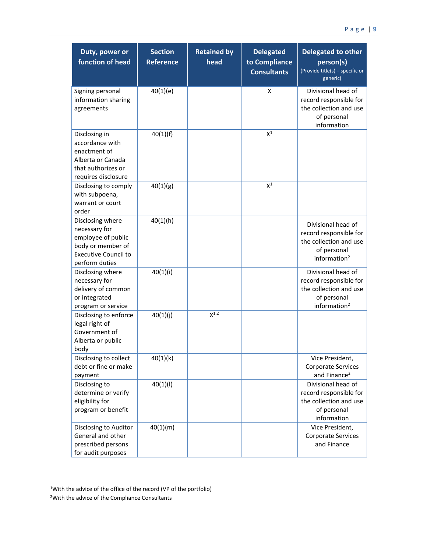| Duty, power or<br>function of head                                                                                            | <b>Section</b><br><b>Reference</b> | <b>Retained by</b><br>head | <b>Delegated</b><br>to Compliance<br><b>Consultants</b> | <b>Delegated to other</b><br>person(s)<br>(Provide title(s) - specific or<br>generic)                             |
|-------------------------------------------------------------------------------------------------------------------------------|------------------------------------|----------------------------|---------------------------------------------------------|-------------------------------------------------------------------------------------------------------------------|
| Signing personal<br>information sharing<br>agreements                                                                         | 40(1)(e)                           |                            | X                                                       | Divisional head of<br>record responsible for<br>the collection and use<br>of personal<br>information              |
| Disclosing in<br>accordance with<br>enactment of<br>Alberta or Canada<br>that authorizes or<br>requires disclosure            | 40(1)(f)                           |                            | $X^1$                                                   |                                                                                                                   |
| Disclosing to comply<br>with subpoena,<br>warrant or court<br>order                                                           | 40(1)(g)                           |                            | $X^1$                                                   |                                                                                                                   |
| Disclosing where<br>necessary for<br>employee of public<br>body or member of<br><b>Executive Council to</b><br>perform duties | 40(1)(h)                           |                            |                                                         | Divisional head of<br>record responsible for<br>the collection and use<br>of personal<br>information <sup>2</sup> |
| Disclosing where<br>necessary for<br>delivery of common<br>or integrated<br>program or service                                | 40(1)(i)                           |                            |                                                         | Divisional head of<br>record responsible for<br>the collection and use<br>of personal<br>information <sup>2</sup> |
| Disclosing to enforce<br>legal right of<br>Government of<br>Alberta or public<br>body                                         | 40(1)(j)                           | $X^{1,2}$                  |                                                         |                                                                                                                   |
| Disclosing to collect<br>debt or fine or make<br>payment                                                                      | 40(1)(k)                           |                            |                                                         | Vice President,<br>Corporate Services<br>and Finance <sup>2</sup>                                                 |
| Disclosing to<br>determine or verify<br>eligibility for<br>program or benefit                                                 | 40(1)(1)                           |                            |                                                         | Divisional head of<br>record responsible for<br>the collection and use<br>of personal<br>information              |
| Disclosing to Auditor<br>General and other<br>prescribed persons<br>for audit purposes                                        | 40(1)(m)                           |                            |                                                         | Vice President,<br>Corporate Services<br>and Finance                                                              |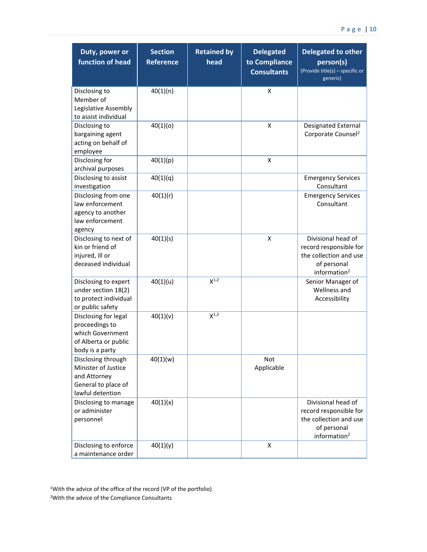| Duty, power or<br>function of head                                                                    | <b>Section</b><br><b>Reference</b> | <b>Retained by</b><br>head | <b>Delegated</b><br>to Compliance<br><b>Consultants</b> | <b>Delegated to other</b><br>person(s)<br>(Provide title(s) - specific or<br>generic)                             |
|-------------------------------------------------------------------------------------------------------|------------------------------------|----------------------------|---------------------------------------------------------|-------------------------------------------------------------------------------------------------------------------|
| Disclosing to<br>Member of<br>Legislative Assembly<br>to assist individual                            | 40(1)(n)                           |                            | X                                                       |                                                                                                                   |
| Disclosing to<br>bargaining agent<br>acting on behalf of<br>employee                                  | 40(1)(o)                           |                            | X                                                       | Designated External<br>Corporate Counsel <sup>2</sup>                                                             |
| Disclosing for<br>archival purposes                                                                   | 40(1)(p)                           |                            | X                                                       |                                                                                                                   |
| Disclosing to assist<br>investigation                                                                 | 40(1)(q)                           |                            |                                                         | <b>Emergency Services</b><br>Consultant                                                                           |
| Disclosing from one<br>law enforcement<br>agency to another<br>law enforcement<br>agency              | 40(1)(r)                           |                            |                                                         | <b>Emergency Services</b><br>Consultant                                                                           |
| Disclosing to next of<br>kin or friend of<br>injured, ill or<br>deceased individual                   | 40(1)(s)                           |                            | X                                                       | Divisional head of<br>record responsible for<br>the collection and use<br>of personal<br>information <sup>2</sup> |
| Disclosing to expert<br>under section 18(2)<br>to protect individual<br>or public safety              | 40(1)(u)                           | $X^{1,2}$                  |                                                         | Senior Manager of<br>Wellness and<br>Accessibility                                                                |
| Disclosing for legal<br>proceedings to<br>which Government<br>of Alberta or public<br>body is a party | 40(1)(v)                           | $X^{1,2}$                  |                                                         |                                                                                                                   |
| Disclosing through<br>Minister of Justice<br>and Attorney<br>General to place of<br>lawful detention  | 40(1)(w)                           |                            | Not<br>Applicable                                       |                                                                                                                   |
| Disclosing to manage<br>or administer<br>personnel                                                    | 40(1)(x)                           |                            |                                                         | Divisional head of<br>record responsible for<br>the collection and use<br>of personal<br>information <sup>2</sup> |
| Disclosing to enforce<br>a maintenance order                                                          | 40(1)(y)                           |                            | $\pmb{\mathsf{X}}$                                      |                                                                                                                   |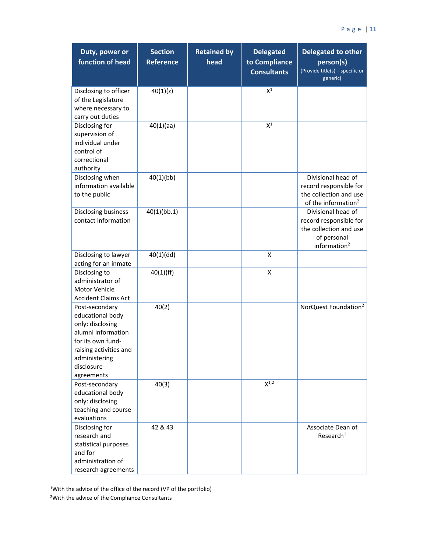| Duty, power or<br>function of head                                                                                                                                       | <b>Section</b><br><b>Reference</b> | <b>Retained by</b><br>head | <b>Delegated</b><br>to Compliance<br><b>Consultants</b> | <b>Delegated to other</b><br>person(s)<br>(Provide title(s) - specific or<br>generic)                     |
|--------------------------------------------------------------------------------------------------------------------------------------------------------------------------|------------------------------------|----------------------------|---------------------------------------------------------|-----------------------------------------------------------------------------------------------------------|
| Disclosing to officer<br>of the Legislature<br>where necessary to<br>carry out duties                                                                                    | 40(1)(z)                           |                            | $\mathsf{X}^1$                                          |                                                                                                           |
| Disclosing for<br>supervision of<br>individual under<br>control of<br>correctional<br>authority                                                                          | 40(1)(aa)                          |                            | $\mathsf{X}^1$                                          |                                                                                                           |
| Disclosing when<br>information available<br>to the public                                                                                                                | 40(1)(bb)                          |                            |                                                         | Divisional head of<br>record responsible for<br>the collection and use<br>of the information <sup>2</sup> |
| Disclosing business<br>contact information                                                                                                                               | 40(1)(bb.1)                        |                            |                                                         | Divisional head of<br>record responsible for<br>the collection and use<br>of personal<br>information $2$  |
| Disclosing to lawyer<br>acting for an inmate                                                                                                                             | 40(1)(dd)                          |                            | X                                                       |                                                                                                           |
| Disclosing to<br>administrator of<br>Motor Vehicle<br><b>Accident Claims Act</b>                                                                                         | 40(1)(ff)                          |                            | X                                                       |                                                                                                           |
| Post-secondary<br>educational body<br>only: disclosing<br>alumni information<br>for its own fund-<br>raising activities and<br>administering<br>disclosure<br>agreements | 40(2)                              |                            |                                                         | NorQuest Foundation <sup>2</sup>                                                                          |
| Post-secondary<br>educational body<br>only: disclosing<br>teaching and course<br>evaluations                                                                             | 40(3)                              |                            | $X^{1,2}$                                               |                                                                                                           |
| Disclosing for<br>research and<br>statistical purposes<br>and for<br>administration of<br>research agreements                                                            | 42 & 43                            |                            |                                                         | Associate Dean of<br>Research <sup>1</sup>                                                                |